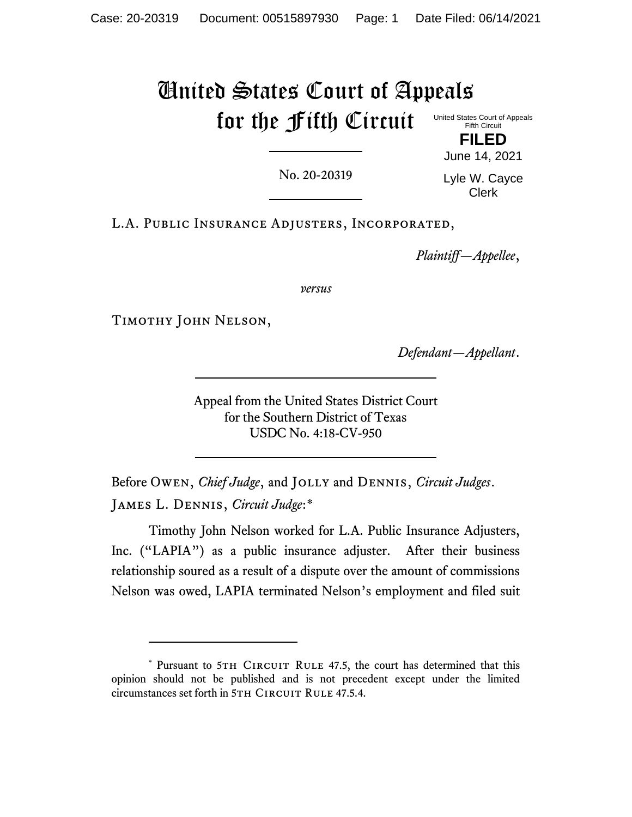## United States Court of Appeals for the Fifth Circuit United States Court of Appeals Fifth Circuit

No. 20-20319

Lyle W. Cayce Clerk

**FILED** June 14, 2021

L.A. Public Insurance Adjusters, Incorporated,

*Plaintiff—Appellee*,

*versus*

Timothy John Nelson,

*Defendant—Appellant*.

Appeal from the United States District Court for the Southern District of Texas USDC No. 4:18-CV-950

Before Owen, *Chief Judge*, and Jolly and Dennis, *Circuit Judges*. James L. Dennis, *Circuit Judge*:\*

Timothy John Nelson worked for L.A. Public Insurance Adjusters, Inc. ("LAPIA") as a public insurance adjuster. After their business relationship soured as a result of a dispute over the amount of commissions Nelson was owed, LAPIA terminated Nelson's employment and filed suit

<sup>\*</sup> Pursuant to 5TH CIRCUIT RULE 47.5, the court has determined that this opinion should not be published and is not precedent except under the limited circumstances set forth in 5TH CIRCUIT RULE 47.5.4.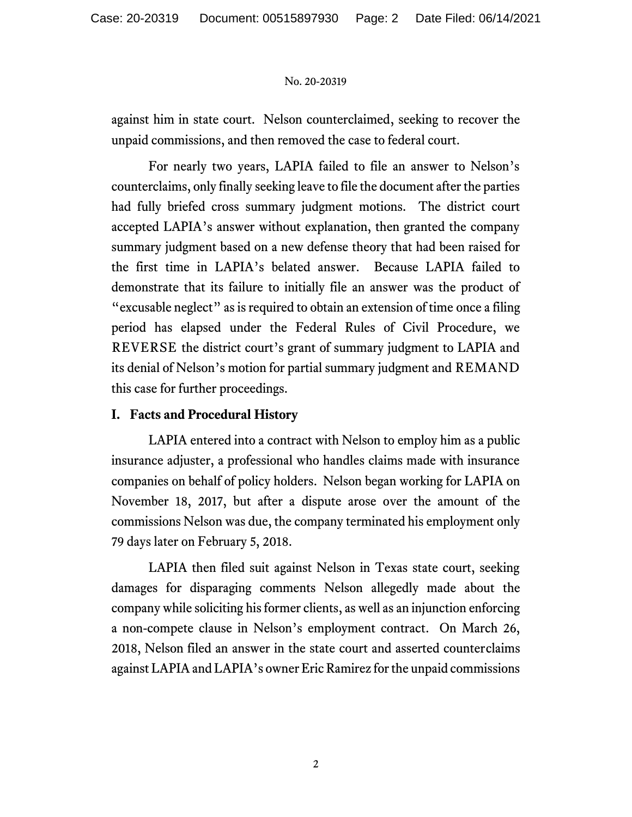against him in state court. Nelson counterclaimed, seeking to recover the unpaid commissions, and then removed the case to federal court.

For nearly two years, LAPIA failed to file an answer to Nelson's counterclaims, only finally seeking leave to file the document after the parties had fully briefed cross summary judgment motions. The district court accepted LAPIA's answer without explanation, then granted the company summary judgment based on a new defense theory that had been raised for the first time in LAPIA's belated answer. Because LAPIA failed to demonstrate that its failure to initially file an answer was the product of "excusable neglect" as is required to obtain an extension of time once a filing period has elapsed under the Federal Rules of Civil Procedure, we REVERSE the district court's grant of summary judgment to LAPIA and its denial of Nelson's motion for partial summary judgment and REMAND this case for further proceedings.

## **I. Facts and Procedural History**

LAPIA entered into a contract with Nelson to employ him as a public insurance adjuster, a professional who handles claims made with insurance companies on behalf of policy holders. Nelson began working for LAPIA on November 18, 2017, but after a dispute arose over the amount of the commissions Nelson was due, the company terminated his employment only 79 days later on February 5, 2018.

LAPIA then filed suit against Nelson in Texas state court, seeking damages for disparaging comments Nelson allegedly made about the company while soliciting his former clients, as well as an injunction enforcing a non-compete clause in Nelson's employment contract. On March 26, 2018, Nelson filed an answer in the state court and asserted counterclaims against LAPIA and LAPIA's owner Eric Ramirez for the unpaid commissions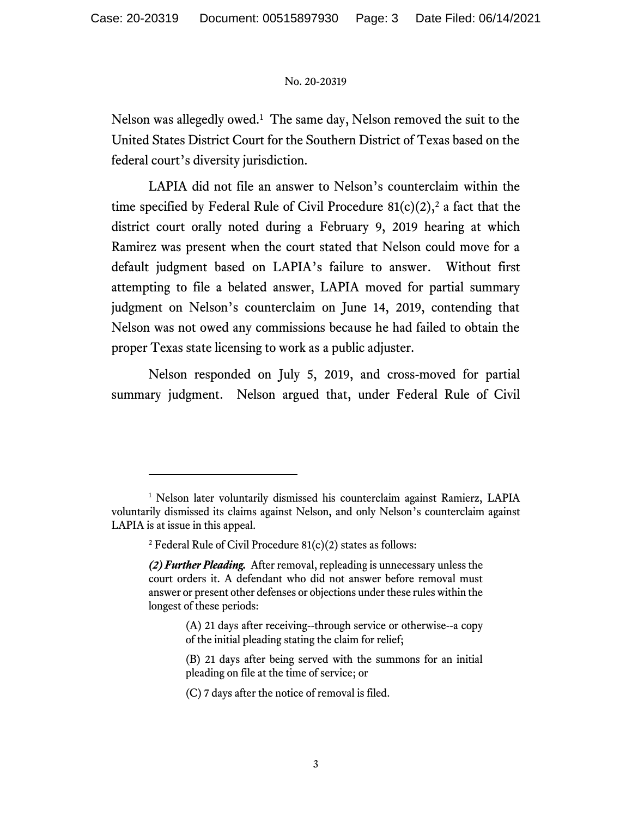Nelson was allegedly owed.<sup>1</sup> The same day, Nelson removed the suit to the United States District Court for the Southern District of Texas based on the federal court's diversity jurisdiction.

LAPIA did not file an answer to Nelson's counterclaim within the time specified by Federal Rule of Civil Procedure  $81(c)(2),^2$  a fact that the district court orally noted during a February 9, 2019 hearing at which Ramirez was present when the court stated that Nelson could move for a default judgment based on LAPIA's failure to answer. Without first attempting to file a belated answer, LAPIA moved for partial summary judgment on Nelson's counterclaim on June 14, 2019, contending that Nelson was not owed any commissions because he had failed to obtain the proper Texas state licensing to work as a public adjuster.

Nelson responded on July 5, 2019, and cross-moved for partial summary judgment. Nelson argued that, under Federal Rule of Civil

<sup>&</sup>lt;sup>1</sup> Nelson later voluntarily dismissed his counterclaim against Ramierz, LAPIA voluntarily dismissed its claims against Nelson, and only Nelson's counterclaim against LAPIA is at issue in this appeal.

<sup>&</sup>lt;sup>2</sup> Federal Rule of Civil Procedure  $81(c)(2)$  states as follows:

*<sup>(2)</sup> Further Pleading.* After removal, repleading is unnecessary unless the court orders it. A defendant who did not answer before removal must answer or present other defenses or objections under these rules within the longest of these periods:

<sup>(</sup>A) 21 days after receiving--through service or otherwise--a copy of the initial pleading stating the claim for relief;

<sup>(</sup>B) 21 days after being served with the summons for an initial pleading on file at the time of service; or

<sup>(</sup>C) 7 days after the notice of removal is filed.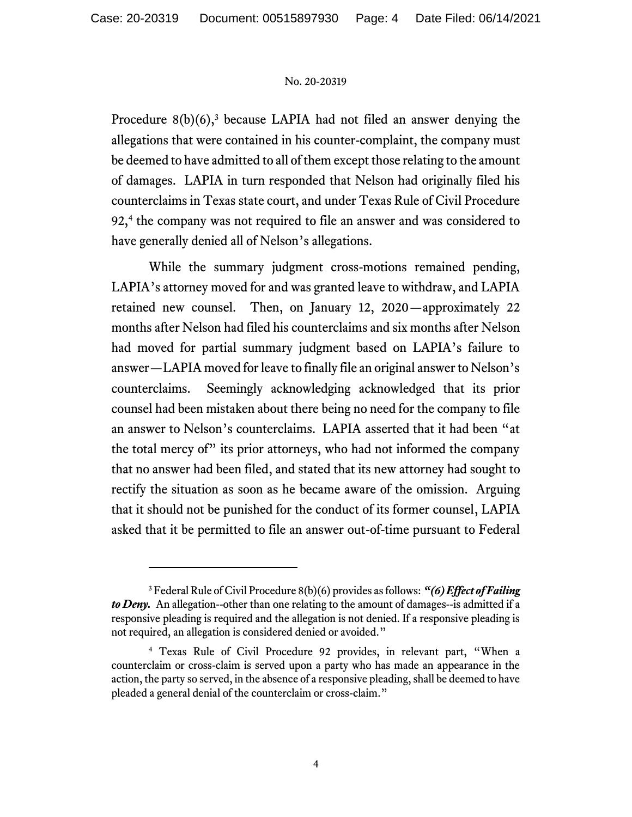Procedure  $8(b)(6)$ ,<sup>3</sup> because LAPIA had not filed an answer denying the allegations that were contained in his counter-complaint, the company must be deemed to have admitted to all of them except those relating to the amount of damages. LAPIA in turn responded that Nelson had originally filed his counterclaims in Texas state court, and under Texas Rule of Civil Procedure 92,<sup>4</sup> the company was not required to file an answer and was considered to have generally denied all of Nelson's allegations.

While the summary judgment cross-motions remained pending, LAPIA's attorney moved for and was granted leave to withdraw, and LAPIA retained new counsel. Then, on January 12, 2020—approximately 22 months after Nelson had filed his counterclaims and six months after Nelson had moved for partial summary judgment based on LAPIA's failure to answer—LAPIA moved for leave to finally file an original answer to Nelson's counterclaims. Seemingly acknowledging acknowledged that its prior counsel had been mistaken about there being no need for the company to file an answer to Nelson's counterclaims. LAPIA asserted that it had been "at the total mercy of" its prior attorneys, who had not informed the company that no answer had been filed, and stated that its new attorney had sought to rectify the situation as soon as he became aware of the omission. Arguing that it should not be punished for the conduct of its former counsel, LAPIA asked that it be permitted to file an answer out-of-time pursuant to Federal

<sup>3</sup> Federal Rule of Civil Procedure 8(b)(6) provides as follows: *"(6) Effect of Failing to Deny.* An allegation--other than one relating to the amount of damages--is admitted if a responsive pleading is required and the allegation is not denied. If a responsive pleading is not required, an allegation is considered denied or avoided."

<sup>4</sup> Texas Rule of Civil Procedure 92 provides, in relevant part, "When a counterclaim or cross-claim is served upon a party who has made an appearance in the action, the party so served, in the absence of a responsive pleading, shall be deemed to have pleaded a general denial of the counterclaim or cross-claim."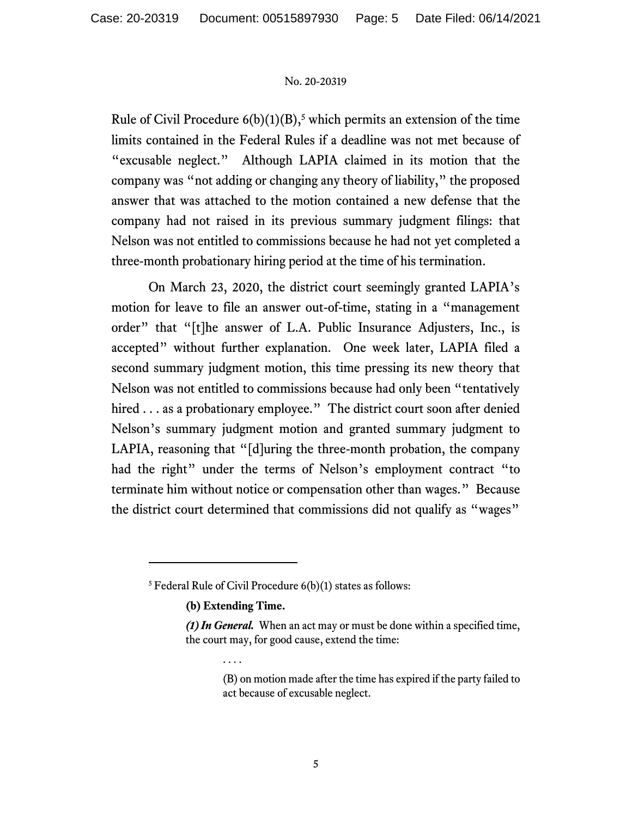Rule of Civil Procedure  $6(b)(1)(B)$ ,<sup>5</sup> which permits an extension of the time limits contained in the Federal Rules if a deadline was not met because of "excusable neglect." Although LAPIA claimed in its motion that the company was "not adding or changing any theory of liability," the proposed answer that was attached to the motion contained a new defense that the company had not raised in its previous summary judgment filings: that Nelson was not entitled to commissions because he had not yet completed a three-month probationary hiring period at the time of his termination.

On March 23, 2020, the district court seemingly granted LAPIA's motion for leave to file an answer out-of-time, stating in a "management order" that "[t]he answer of L.A. Public Insurance Adjusters, Inc., is accepted" without further explanation. One week later, LAPIA filed a second summary judgment motion, this time pressing its new theory that Nelson was not entitled to commissions because had only been "tentatively hired . . . as a probationary employee." The district court soon after denied Nelson's summary judgment motion and granted summary judgment to LAPIA, reasoning that "[d]uring the three-month probation, the company had the right" under the terms of Nelson's employment contract "to terminate him without notice or compensation other than wages." Because the district court determined that commissions did not qualify as "wages"

**(b) Extending Time.**

. . . .

 $5$  Federal Rule of Civil Procedure  $6(b)(1)$  states as follows:

*<sup>(1)</sup> In General.* When an act may or must be done within a specified time, the court may, for good cause, extend the time:

<sup>(</sup>B) on motion made after the time has expired if the party failed to act because of excusable neglect.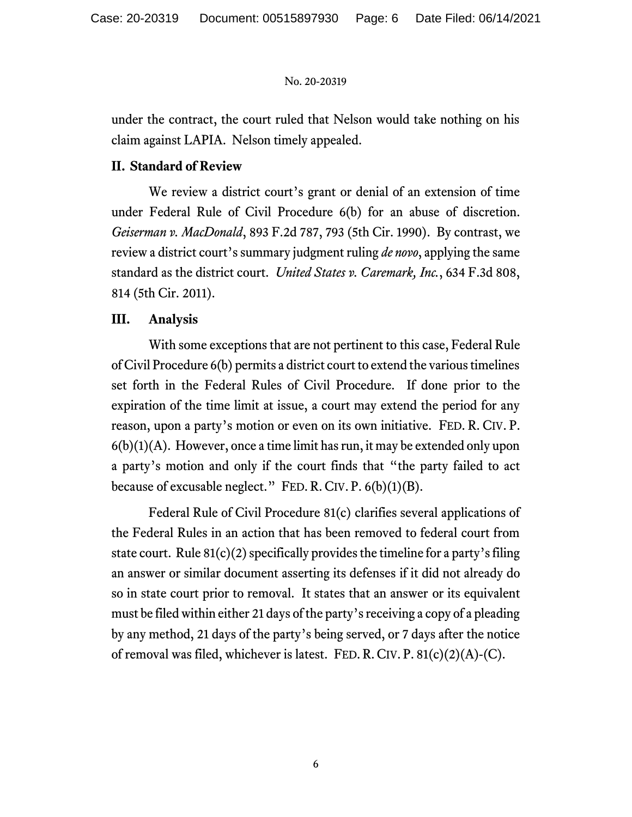under the contract, the court ruled that Nelson would take nothing on his claim against LAPIA. Nelson timely appealed.

# **II. Standard of Review**

We review a district court's grant or denial of an extension of time under Federal Rule of Civil Procedure 6(b) for an abuse of discretion. *Geiserman v. MacDonald*, 893 F.2d 787, 793 (5th Cir. 1990). By contrast, we review a district court's summary judgment ruling *de novo*, applying the same standard as the district court. *United States v. Caremark, Inc.*, 634 F.3d 808, 814 (5th Cir. 2011).

# **III. Analysis**

With some exceptions that are not pertinent to this case, Federal Rule of Civil Procedure 6(b) permits a district court to extend the various timelines set forth in the Federal Rules of Civil Procedure. If done prior to the expiration of the time limit at issue, a court may extend the period for any reason, upon a party's motion or even on its own initiative. FED. R. CIV. P.  $6(b)(1)(A)$ . However, once a time limit has run, it may be extended only upon a party's motion and only if the court finds that "the party failed to act because of excusable neglect." FED. R. CIV. P.  $6(b)(1)(B)$ .

Federal Rule of Civil Procedure 81(c) clarifies several applications of the Federal Rules in an action that has been removed to federal court from state court. Rule  $81(c)(2)$  specifically provides the timeline for a party's filing an answer or similar document asserting its defenses if it did not already do so in state court prior to removal. It states that an answer or its equivalent must be filed within either 21 days of the party's receiving a copy of a pleading by any method, 21 days of the party's being served, or 7 days after the notice of removal was filed, whichever is latest. FED. R. CIV. P.  $81(c)(2)(A)-(C)$ .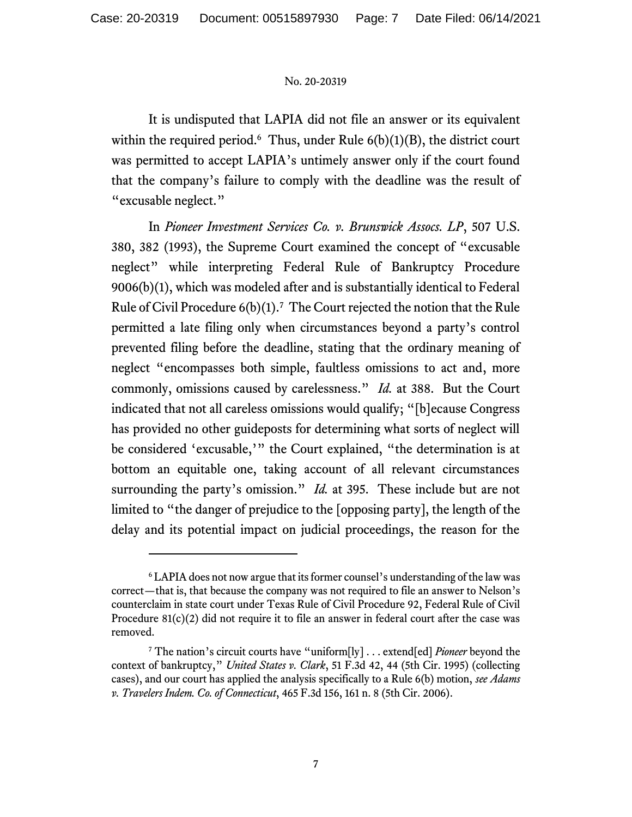It is undisputed that LAPIA did not file an answer or its equivalent within the required period.<sup>6</sup> Thus, under Rule  $6(b)(1)(B)$ , the district court was permitted to accept LAPIA's untimely answer only if the court found that the company's failure to comply with the deadline was the result of "excusable neglect."

In *Pioneer Investment Services Co. v. Brunswick Assocs. LP*, 507 U.S. 380, 382 (1993), the Supreme Court examined the concept of "excusable neglect" while interpreting Federal Rule of Bankruptcy Procedure 9006(b)(1), which was modeled after and is substantially identical to Federal Rule of Civil Procedure  $6(b)(1)$ .<sup>7</sup> The Court rejected the notion that the Rule permitted a late filing only when circumstances beyond a party's control prevented filing before the deadline, stating that the ordinary meaning of neglect "encompasses both simple, faultless omissions to act and, more commonly, omissions caused by carelessness." *Id.* at 388. But the Court indicated that not all careless omissions would qualify; "[b]ecause Congress has provided no other guideposts for determining what sorts of neglect will be considered 'excusable,'" the Court explained, "the determination is at bottom an equitable one, taking account of all relevant circumstances surrounding the party's omission." *Id.* at 395. These include but are not limited to "the danger of prejudice to the [opposing party], the length of the delay and its potential impact on judicial proceedings, the reason for the

<sup>6</sup> LAPIA does not now argue that its former counsel's understanding of the law was correct—that is, that because the company was not required to file an answer to Nelson's counterclaim in state court under Texas Rule of Civil Procedure 92, Federal Rule of Civil Procedure 81(c)(2) did not require it to file an answer in federal court after the case was removed.

<sup>7</sup> The nation's circuit courts have "uniform[ly] . . . extend[ed] *Pioneer* beyond the context of bankruptcy," *United States v. Clark*, 51 F.3d 42, 44 (5th Cir. 1995) (collecting cases), and our court has applied the analysis specifically to a Rule 6(b) motion, *see Adams v. Travelers Indem. Co. of Connecticut*, 465 F.3d 156, 161 n. 8 (5th Cir. 2006).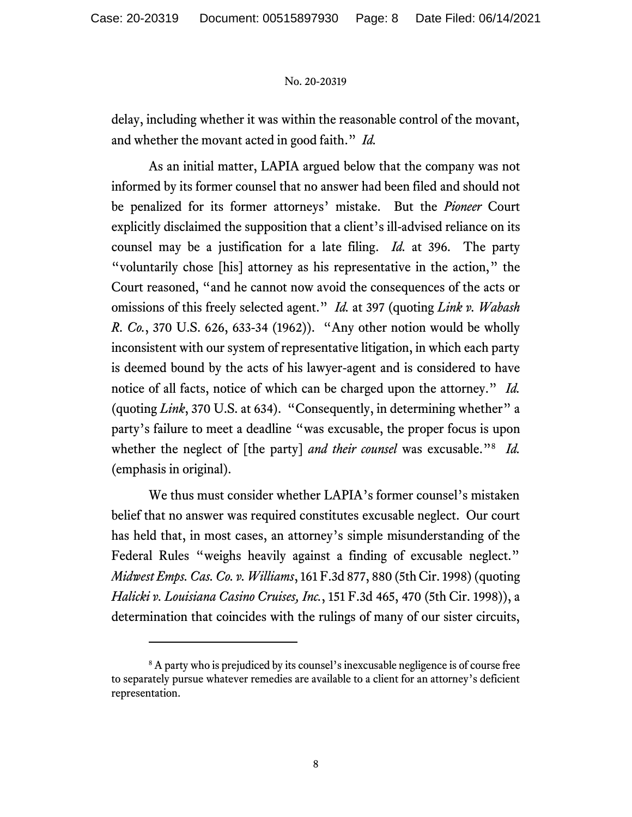delay, including whether it was within the reasonable control of the movant, and whether the movant acted in good faith." *Id.* 

As an initial matter, LAPIA argued below that the company was not informed by its former counsel that no answer had been filed and should not be penalized for its former attorneys' mistake. But the *Pioneer* Court explicitly disclaimed the supposition that a client's ill-advised reliance on its counsel may be a justification for a late filing. *Id.* at 396. The party "voluntarily chose [his] attorney as his representative in the action," the Court reasoned, "and he cannot now avoid the consequences of the acts or omissions of this freely selected agent." *Id.* at 397 (quoting *Link v. Wabash R. Co.*, 370 U.S. 626, 633-34 (1962)). "Any other notion would be wholly inconsistent with our system of representative litigation, in which each party is deemed bound by the acts of his lawyer-agent and is considered to have notice of all facts, notice of which can be charged upon the attorney." *Id.*  (quoting *Link*, 370 U.S. at 634). "Consequently, in determining whether" a party's failure to meet a deadline "was excusable, the proper focus is upon whether the neglect of [the party] *and their counsel* was excusable."<sup>8</sup> *Id.*  (emphasis in original).

We thus must consider whether LAPIA's former counsel's mistaken belief that no answer was required constitutes excusable neglect. Our court has held that, in most cases, an attorney's simple misunderstanding of the Federal Rules "weighs heavily against a finding of excusable neglect." *Midwest Emps. Cas. Co. v. Williams*, 161 F.3d 877, 880 (5th Cir. 1998) (quoting *Halicki v. Louisiana Casino Cruises, Inc.*, 151 F.3d 465, 470 (5th Cir. 1998)), a determination that coincides with the rulings of many of our sister circuits,

<sup>&</sup>lt;sup>8</sup> A party who is prejudiced by its counsel's inexcusable negligence is of course free to separately pursue whatever remedies are available to a client for an attorney's deficient representation.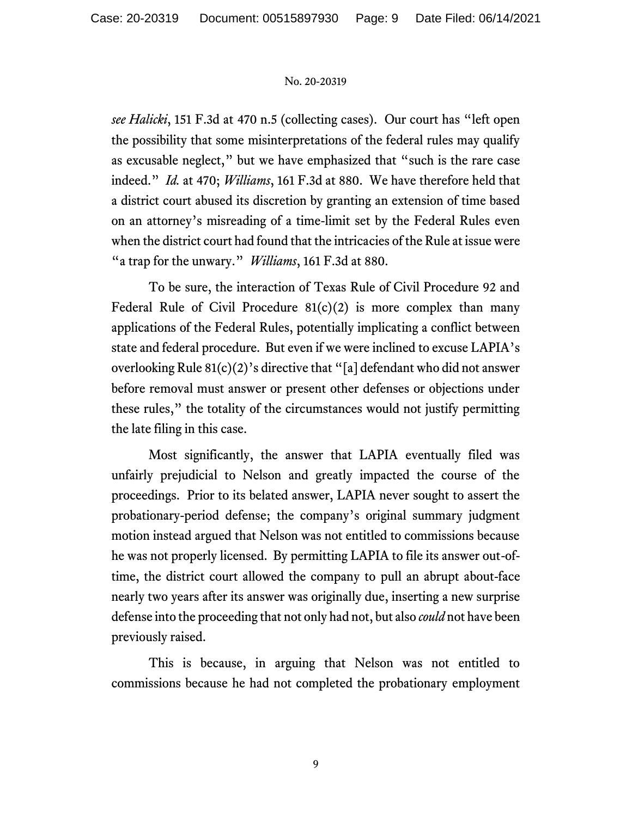*see Halicki*, 151 F.3d at 470 n.5 (collecting cases). Our court has "left open the possibility that some misinterpretations of the federal rules may qualify as excusable neglect," but we have emphasized that "such is the rare case indeed." *Id.* at 470; *Williams*, 161 F.3d at 880. We have therefore held that a district court abused its discretion by granting an extension of time based on an attorney's misreading of a time-limit set by the Federal Rules even when the district court had found that the intricacies of the Rule at issue were "a trap for the unwary." *Williams*, 161 F.3d at 880.

To be sure, the interaction of Texas Rule of Civil Procedure 92 and Federal Rule of Civil Procedure  $81(c)(2)$  is more complex than many applications of the Federal Rules, potentially implicating a conflict between state and federal procedure. But even if we were inclined to excuse LAPIA's overlooking Rule 81(c)(2)'s directive that "[a] defendant who did not answer before removal must answer or present other defenses or objections under these rules," the totality of the circumstances would not justify permitting the late filing in this case.

Most significantly, the answer that LAPIA eventually filed was unfairly prejudicial to Nelson and greatly impacted the course of the proceedings. Prior to its belated answer, LAPIA never sought to assert the probationary-period defense; the company's original summary judgment motion instead argued that Nelson was not entitled to commissions because he was not properly licensed. By permitting LAPIA to file its answer out-oftime, the district court allowed the company to pull an abrupt about-face nearly two years after its answer was originally due, inserting a new surprise defense into the proceeding that not only had not, but also *could* not have been previously raised.

This is because, in arguing that Nelson was not entitled to commissions because he had not completed the probationary employment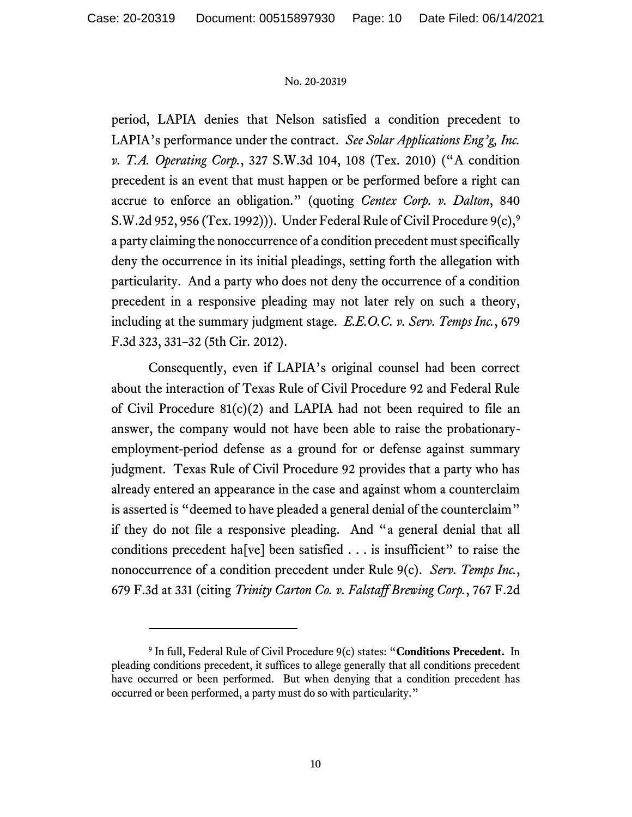period, LAPIA denies that Nelson satisfied a condition precedent to LAPIA's performance under the contract. *See Solar Applications Eng'g, Inc. v. T.A. Operating Corp.*, 327 S.W.3d 104, 108 (Tex. 2010) ("A condition precedent is an event that must happen or be performed before a right can accrue to enforce an obligation." (quoting *Centex Corp. v. Dalton*, 840 S.W.2d 952, 956 (Tex. 1992)). Under Federal Rule of Civil Procedure  $9(c)$ ,  $9<sup>9</sup>$ a party claiming the nonoccurrence of a condition precedent must specifically deny the occurrence in its initial pleadings, setting forth the allegation with particularity. And a party who does not deny the occurrence of a condition precedent in a responsive pleading may not later rely on such a theory, including at the summary judgment stage. *E.E.O.C. v. Serv. Temps Inc.*, 679 F.3d 323, 331–32 (5th Cir. 2012).

Consequently, even if LAPIA's original counsel had been correct about the interaction of Texas Rule of Civil Procedure 92 and Federal Rule of Civil Procedure  $81(c)(2)$  and LAPIA had not been required to file an answer, the company would not have been able to raise the probationaryemployment-period defense as a ground for or defense against summary judgment. Texas Rule of Civil Procedure 92 provides that a party who has already entered an appearance in the case and against whom a counterclaim is asserted is "deemed to have pleaded a general denial of the counterclaim" if they do not file a responsive pleading. And "a general denial that all conditions precedent ha[ve] been satisfied  $\dots$  is insufficient" to raise the nonoccurrence of a condition precedent under Rule 9(c). *Serv. Temps Inc.*, 679 F.3d at 331 (citing *Trinity Carton Co. v. Falstaff Brewing Corp.*, 767 F.2d

<sup>9</sup> In full, Federal Rule of Civil Procedure 9(c) states: "**Conditions Precedent.** In pleading conditions precedent, it suffices to allege generally that all conditions precedent have occurred or been performed. But when denying that a condition precedent has occurred or been performed, a party must do so with particularity."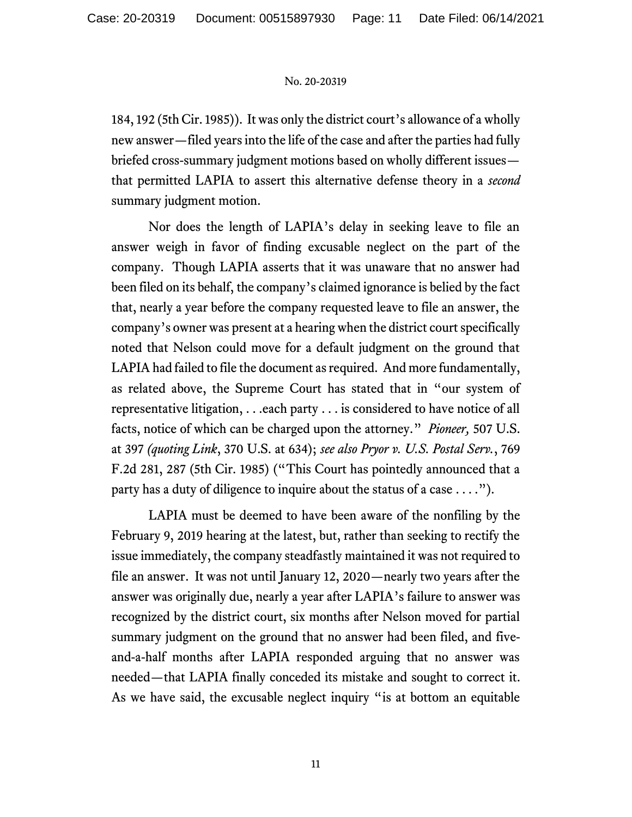184, 192 (5th Cir. 1985)). Itwas only the district court's allowance of a wholly new answer—filed years into the life of the case and after the parties had fully briefed cross-summary judgment motions based on wholly different issues that permitted LAPIA to assert this alternative defense theory in a *second* summary judgment motion.

Nor does the length of LAPIA's delay in seeking leave to file an answer weigh in favor of finding excusable neglect on the part of the company. Though LAPIA asserts that it was unaware that no answer had been filed on its behalf, the company's claimed ignorance is belied by the fact that, nearly a year before the company requested leave to file an answer, the company's owner was present at a hearing when the district court specifically noted that Nelson could move for a default judgment on the ground that LAPIA had failed to file the document as required. And more fundamentally, as related above, the Supreme Court has stated that in "our system of representative litigation, . . .each party . . . is considered to have notice of all facts, notice of which can be charged upon the attorney." *Pioneer,* 507 U.S. at 397 *(quoting Link*, 370 U.S. at 634); *see also Pryor v. U.S. Postal Serv.*, 769 F.2d 281, 287 (5th Cir. 1985) ("This Court has pointedly announced that a party has a duty of diligence to inquire about the status of a case . . . .").

LAPIA must be deemed to have been aware of the nonfiling by the February 9, 2019 hearing at the latest, but, rather than seeking to rectify the issue immediately, the company steadfastly maintained it was not required to file an answer. It was not until January 12, 2020—nearly two years after the answer was originally due, nearly a year after LAPIA's failure to answer was recognized by the district court, six months after Nelson moved for partial summary judgment on the ground that no answer had been filed, and fiveand-a-half months after LAPIA responded arguing that no answer was needed—that LAPIA finally conceded its mistake and sought to correct it. As we have said, the excusable neglect inquiry "is at bottom an equitable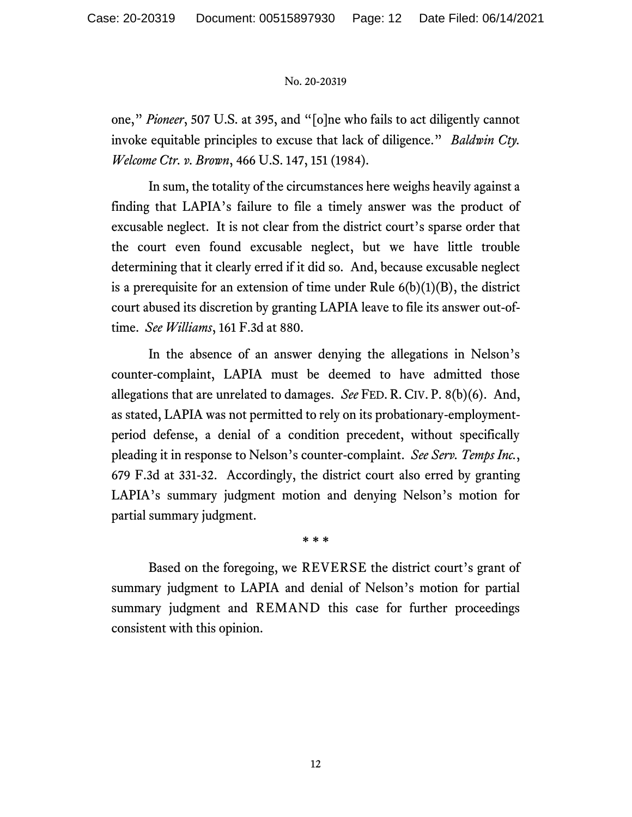one," *Pioneer*, 507 U.S. at 395, and "[o]ne who fails to act diligently cannot invoke equitable principles to excuse that lack of diligence." *Baldwin Cty. Welcome Ctr. v. Brown*, 466 U.S. 147, 151 (1984).

In sum, the totality of the circumstances here weighs heavily against a finding that LAPIA's failure to file a timely answer was the product of excusable neglect. It is not clear from the district court's sparse order that the court even found excusable neglect, but we have little trouble determining that it clearly erred if it did so. And, because excusable neglect is a prerequisite for an extension of time under Rule  $6(b)(1)(B)$ , the district court abused its discretion by granting LAPIA leave to file its answer out-oftime. *See Williams*, 161 F.3d at 880.

In the absence of an answer denying the allegations in Nelson's counter-complaint, LAPIA must be deemed to have admitted those allegations that are unrelated to damages. *See* FED. R. CIV. P. 8(b)(6). And, as stated, LAPIA was not permitted to rely on its probationary-employmentperiod defense, a denial of a condition precedent, without specifically pleading it in response to Nelson's counter-complaint. *See Serv. Temps Inc.*, 679 F.3d at 331-32. Accordingly, the district court also erred by granting LAPIA's summary judgment motion and denying Nelson's motion for partial summary judgment.

**\* \* \***

Based on the foregoing, we REVERSE the district court's grant of summary judgment to LAPIA and denial of Nelson's motion for partial summary judgment and REMAND this case for further proceedings consistent with this opinion.